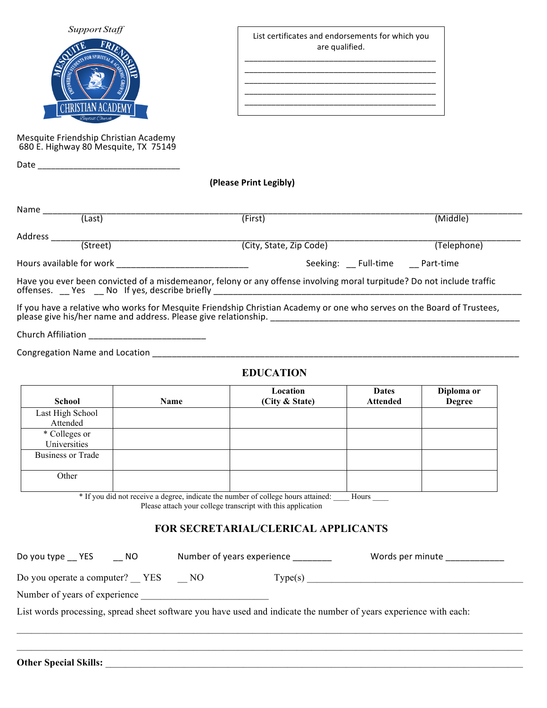| Support Staff                |  |
|------------------------------|--|
| FRIEVA                       |  |
| SURVEYS FOR SPIRITUAL & ACLO |  |
|                              |  |
|                              |  |
| <b>CHRISTIAN ACADEMY</b>     |  |
| Baptist Church               |  |

Mesquite Friendship Christian Academy 680 E. Highway 80 Mesquite, TX 75149

List certificates and endorsements for which you are qualified. \_\_\_\_\_\_\_\_\_\_\_\_\_\_\_\_\_\_\_\_\_\_\_\_\_\_\_\_\_\_\_\_\_\_\_\_\_\_\_\_\_\_\_

\_\_\_\_\_\_\_\_\_\_\_\_\_\_\_\_\_\_\_\_\_\_\_\_\_\_\_\_\_\_\_\_\_\_\_\_\_\_\_\_\_\_\_

\_\_\_\_\_\_\_\_\_\_\_\_\_\_\_\_\_\_\_\_\_\_\_\_\_\_\_\_\_\_\_\_\_\_\_\_\_\_\_\_\_\_\_ \_\_\_\_\_\_\_\_\_\_\_\_\_\_\_\_\_\_\_\_\_\_\_\_\_\_\_\_\_\_\_\_\_\_\_\_\_\_\_\_\_\_\_

**(Please Print Legibly)**

 $\overline{\phantom{a}}$ 

| Name    |                          |                                                                                                                |             |
|---------|--------------------------|----------------------------------------------------------------------------------------------------------------|-------------|
|         | (Last)                   | (First)                                                                                                        | (Middle)    |
| Address |                          |                                                                                                                |             |
|         | (Street)                 | (City, State, Zip Code)                                                                                        | (Telephone) |
|         | Hours available for work | Seeking: Full-time                                                                                             | Part-time   |
|         |                          | usy usy hoo convicted of a misdemeaner follow as any offense involving meral turnitude? De not include traffic |             |

Have you ever been convicted of a misdemeanor, felony or any offense involving moral turpitude? Do not include traffic offenses. \_\_ Yes \_\_ No If yes, describe briefly \_\_\_\_\_\_\_\_\_\_\_\_\_\_\_\_\_\_\_\_\_\_\_\_\_\_\_\_\_\_\_\_

If you have a relative who works for Mesquite Friendship Christian Academy or one who serves on the Board of Trustees, please give his/her name and address. Please give relationship. \_\_\_\_\_\_\_\_\_\_\_\_\_\_\_\_\_\_\_\_\_\_\_\_\_\_\_\_\_\_\_\_\_\_\_\_\_\_\_\_\_\_\_\_\_\_\_\_\_\_\_

Church Affiliation \_\_\_\_\_\_\_\_\_\_\_\_\_\_\_\_\_\_\_\_\_\_\_\_

Date  $\Box$ 

Congregation Name and Location \_\_\_\_\_\_\_\_\_\_\_\_\_\_\_\_\_\_\_\_\_\_\_\_\_\_\_\_\_\_\_\_\_\_\_\_\_\_\_\_\_\_\_\_\_\_\_\_\_\_\_\_\_\_\_\_\_\_\_\_\_\_\_\_\_\_\_\_\_\_\_\_\_\_\_

## **EDUCATION**

| <b>School</b>                 | Name | Location<br>(City & State) | <b>Dates</b><br><b>Attended</b> | Diploma or<br><b>Degree</b> |
|-------------------------------|------|----------------------------|---------------------------------|-----------------------------|
| Last High School<br>Attended  |      |                            |                                 |                             |
| * Colleges or<br>Universities |      |                            |                                 |                             |
| <b>Business or Trade</b>      |      |                            |                                 |                             |
| Other                         |      |                            |                                 |                             |

\* If you did not receive a degree, indicate the number of college hours attained: \_\_\_\_ Hours \_\_\_\_

Please attach your college transcript with this application

**Other Special Skills:** \_\_\_\_\_\_\_\_\_\_\_\_\_\_\_\_\_\_\_\_\_\_\_\_\_\_\_\_\_\_\_\_\_\_\_\_\_\_\_\_\_\_\_\_\_\_\_\_\_\_\_\_\_\_\_\_\_\_\_\_\_\_\_\_\_\_\_\_\_\_\_\_\_\_\_\_\_\_\_\_\_\_\_\_\_

## **FOR SECRETARIAL/CLERICAL APPLICANTS**

| Do you type __ YES<br><b>NO</b>                                                                                   | Number of years experience |  | Words per minute |  |  |
|-------------------------------------------------------------------------------------------------------------------|----------------------------|--|------------------|--|--|
| Do you operate a computer? YES NO                                                                                 |                            |  |                  |  |  |
| Number of years of experience                                                                                     |                            |  |                  |  |  |
| List words processing, spread sheet software you have used and indicate the number of years experience with each: |                            |  |                  |  |  |
|                                                                                                                   |                            |  |                  |  |  |
|                                                                                                                   |                            |  |                  |  |  |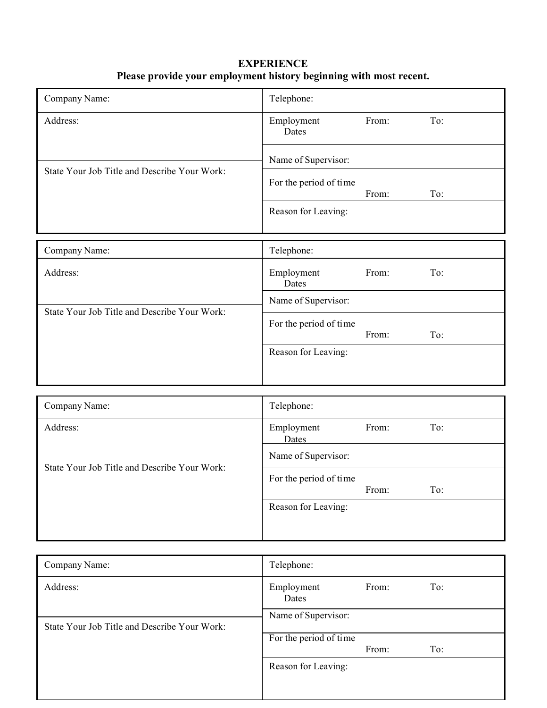| <b>EXPERIENCE</b>                                                  |
|--------------------------------------------------------------------|
| Please provide your employment history beginning with most recent. |

| Company Name:                                | Telephone:             |       |     |
|----------------------------------------------|------------------------|-------|-----|
| Address:                                     | Employment<br>Dates    | From: | To: |
|                                              | Name of Supervisor:    |       |     |
| State Your Job Title and Describe Your Work: | For the period of time | From: | To: |
|                                              | Reason for Leaving:    |       |     |
| Company Name:                                | Telephone:             |       |     |
| Address:                                     | Employment<br>Dates    | From: | To: |
| State Your Job Title and Describe Your Work: | Name of Supervisor:    |       |     |
|                                              | For the period of time | From: | To: |
|                                              | Reason for Leaving:    |       |     |
|                                              |                        |       |     |
| Company Name:                                | Telephone:             |       |     |
| Address:                                     | Employment<br>Dates    | From: | To: |
|                                              | Name of Supervisor:    |       |     |
| State Your Job Title and Describe Your Work: | For the period of time | From: | To: |
|                                              | Reason for Leaving:    |       |     |

| Company Name:                                | Telephone:             |       |     |
|----------------------------------------------|------------------------|-------|-----|
| Address:                                     | Employment<br>Dates    | From: | To: |
| State Your Job Title and Describe Your Work: | Name of Supervisor:    |       |     |
|                                              | For the period of time | From: | To: |
|                                              | Reason for Leaving:    |       |     |
|                                              |                        |       |     |